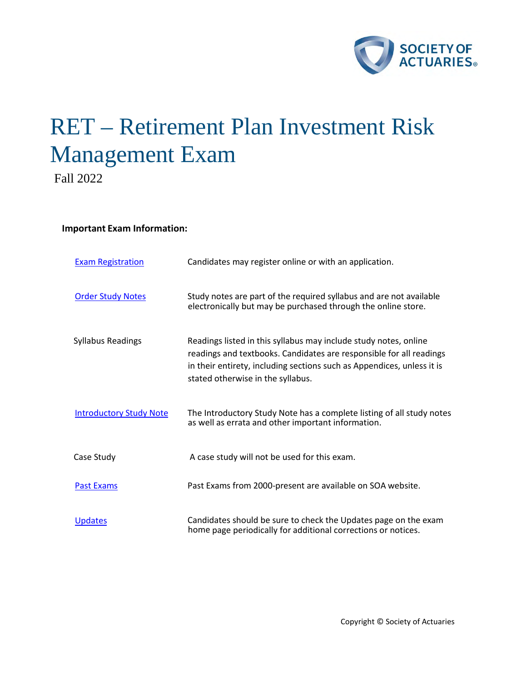

# RET – Retirement Plan Investment Risk Management Exam

Fall 2022

# **Important Exam Information:**

| <b>Exam Registration</b>       | Candidates may register online or with an application.                                                                                                                                                                                                 |
|--------------------------------|--------------------------------------------------------------------------------------------------------------------------------------------------------------------------------------------------------------------------------------------------------|
| <b>Order Study Notes</b>       | Study notes are part of the required syllabus and are not available<br>electronically but may be purchased through the online store.                                                                                                                   |
| <b>Syllabus Readings</b>       | Readings listed in this syllabus may include study notes, online<br>readings and textbooks. Candidates are responsible for all readings<br>in their entirety, including sections such as Appendices, unless it is<br>stated otherwise in the syllabus. |
| <b>Introductory Study Note</b> | The Introductory Study Note has a complete listing of all study notes<br>as well as errata and other important information.                                                                                                                            |
| Case Study                     | A case study will not be used for this exam.                                                                                                                                                                                                           |
| <b>Past Exams</b>              | Past Exams from 2000-present are available on SOA website.                                                                                                                                                                                             |
| <b>Updates</b>                 | Candidates should be sure to check the Updates page on the exam<br>home page periodically for additional corrections or notices.                                                                                                                       |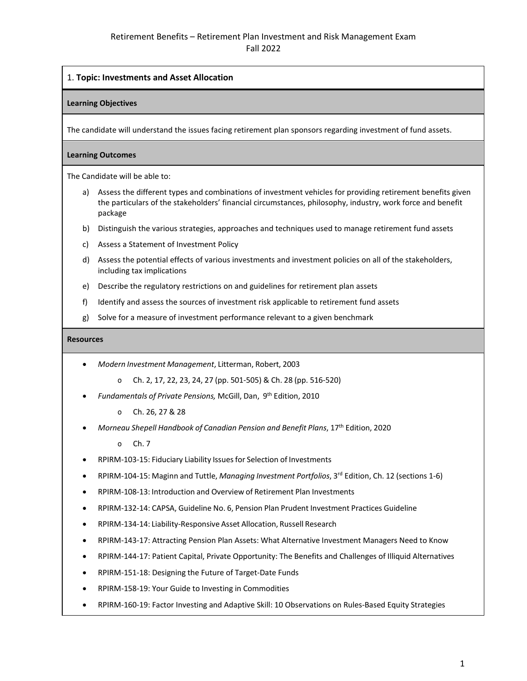# 1. **Topic: Investments and Asset Allocation**

#### **Learning Objectives**

The candidate will understand the issues facing retirement plan sponsors regarding investment of fund assets.

#### **Learning Outcomes**

The Candidate will be able to:

- a) Assess the different types and combinations of investment vehicles for providing retirement benefits given the particulars of the stakeholders' financial circumstances, philosophy, industry, work force and benefit package
- b) Distinguish the various strategies, approaches and techniques used to manage retirement fund assets
- c) Assess a Statement of Investment Policy
- d) Assess the potential effects of various investments and investment policies on all of the stakeholders, including tax implications
- e) Describe the regulatory restrictions on and guidelines for retirement plan assets
- f) Identify and assess the sources of investment risk applicable to retirement fund assets
- g) Solve for a measure of investment performance relevant to a given benchmark

#### **Resources**

- *Modern Investment Management*, Litterman, Robert, 2003
	- o Ch. 2, 17, 22, 23, 24, 27 (pp. 501-505) & Ch. 28 (pp. 516-520)
- *Fundamentals of Private Pensions,* McGill, Dan, 9th Edition, 2010
	- o Ch. 26, 27 & 28
- *Morneau Shepell Handbook of Canadian Pension and Benefit Plans*, 17th Edition, 2020
	- o Ch. 7
- RPIRM-103-15: Fiduciary Liability Issues for Selection of Investments
- RPIRM-104-15: Maginn and Tuttle, *Managing Investment Portfolios*, 3rd Edition, Ch. 12 (sections 1-6)
- RPIRM-108-13: Introduction and Overview of Retirement Plan Investments
- RPIRM-132-14: CAPSA, Guideline No. 6, Pension Plan Prudent Investment Practices Guideline
- RPIRM-134-14: Liability-Responsive Asset Allocation, Russell Research
- RPIRM-143-17: Attracting Pension Plan Assets: What Alternative Investment Managers Need to Know
- RPIRM-144-17: Patient Capital, Private Opportunity: The Benefits and Challenges of Illiquid Alternatives
- RPIRM-151-18: Designing the Future of Target-Date Funds
- RPIRM-158-19: Your Guide to Investing in Commodities
- RPIRM-160-19: Factor Investing and Adaptive Skill: 10 Observations on Rules-Based Equity Strategies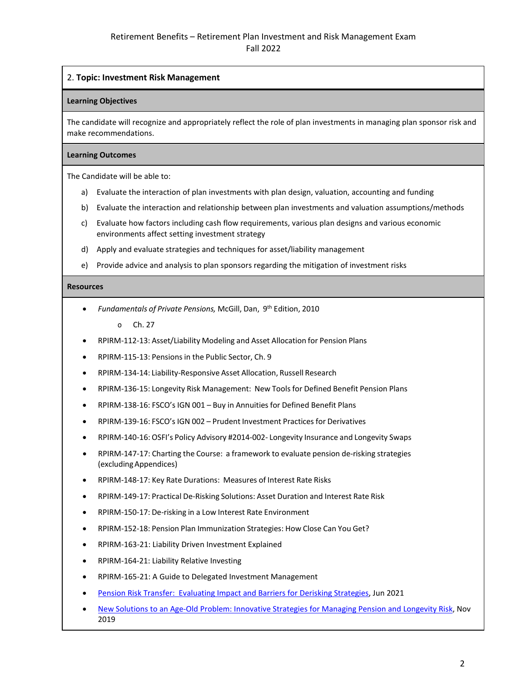# 2. **Topic: Investment Risk Management**

#### **Learning Objectives**

The candidate will recognize and appropriately reflect the role of plan investments in managing plan sponsor risk and make recommendations.

#### **Learning Outcomes**

The Candidate will be able to:

- a) Evaluate the interaction of plan investments with plan design, valuation, accounting and funding
- b) Evaluate the interaction and relationship between plan investments and valuation assumptions/methods
- c) Evaluate how factors including cash flow requirements, various plan designs and various economic environments affect setting investment strategy
- d) Apply and evaluate strategies and techniques for asset/liability management
- e) Provide advice and analysis to plan sponsors regarding the mitigation of investment risks

#### **Resources**

- *Fundamentals of Private Pensions,* McGill, Dan, 9th Edition, 2010
	- o Ch. 27
- RPIRM-112-13: Asset/Liability Modeling and Asset Allocation for Pension Plans
- RPIRM-115-13: Pensions in the Public Sector, Ch. 9
- RPIRM-134-14: Liability-Responsive Asset Allocation, Russell Research
- RPIRM-136-15: Longevity Risk Management: New Tools for Defined Benefit Pension Plans
- RPIRM-138-16: FSCO's IGN 001 Buy in Annuities for Defined Benefit Plans
- RPIRM-139-16: FSCO's IGN 002 Prudent Investment Practices for Derivatives
- RPIRM-140-16: OSFI's Policy Advisory #2014-002- Longevity Insurance and Longevity Swaps
- RPIRM-147-17: Charting the Course: a framework to evaluate pension de-risking strategies (excludingAppendices)
- RPIRM-148-17: Key Rate Durations: Measures of Interest Rate Risks
- RPIRM-149-17: Practical De-Risking Solutions: Asset Duration and Interest Rate Risk
- RPIRM-150-17: De-risking in a Low Interest Rate Environment
- RPIRM-152-18: Pension Plan Immunization Strategies: How Close Can You Get?
- RPIRM-163-21: Liability Driven Investment Explained
- RPIRM-164-21: Liability Relative Investing
- RPIRM-165-21: A Guide to Delegated Investment Management
- [Pension Risk Transfer: Evaluating Impact and Barriers for Derisking Strategies,](https://www.soa.org/globalassets/assets/files/resources/research-report/2021/2021-pension-risk-transfer.pdf) Jun 2021
- [New Solutions to an Age-Old Problem: Innovative Strategies for Managing Pension and Longevity Risk,](https://www.tandfonline.com/doi/pdf/10.1080/10920277.2019.1672566) Nov 2019